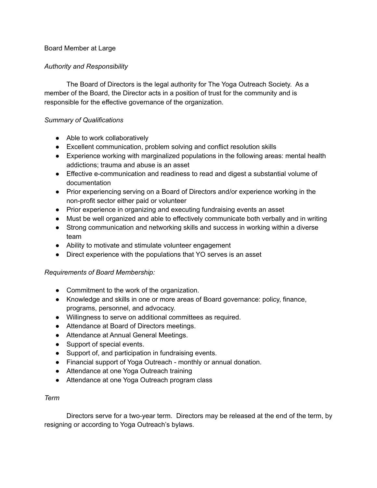# Board Member at Large

# *Authority and Responsibility*

The Board of Directors is the legal authority for The Yoga Outreach Society. As a member of the Board, the Director acts in a position of trust for the community and is responsible for the effective governance of the organization.

## *Summary of Qualifications*

- Able to work collaboratively
- Excellent communication, problem solving and conflict resolution skills
- Experience working with marginalized populations in the following areas: mental health addictions; trauma and abuse is an asset
- Effective e-communication and readiness to read and digest a substantial volume of documentation
- Prior experiencing serving on a Board of Directors and/or experience working in the non-profit sector either paid or volunteer
- Prior experience in organizing and executing fundraising events an asset
- Must be well organized and able to effectively communicate both verbally and in writing
- Strong communication and networking skills and success in working within a diverse team
- Ability to motivate and stimulate volunteer engagement
- Direct experience with the populations that YO serves is an asset

#### *Requirements of Board Membership:*

- Commitment to the work of the organization.
- Knowledge and skills in one or more areas of Board governance: policy, finance, programs, personnel, and advocacy.
- Willingness to serve on additional committees as required.
- Attendance at Board of Directors meetings.
- Attendance at Annual General Meetings.
- Support of special events.
- Support of, and participation in fundraising events.
- Financial support of Yoga Outreach monthly or annual donation.
- Attendance at one Yoga Outreach training
- Attendance at one Yoga Outreach program class

#### *Term*

Directors serve for a two-year term. Directors may be released at the end of the term, by resigning or according to Yoga Outreach's bylaws.